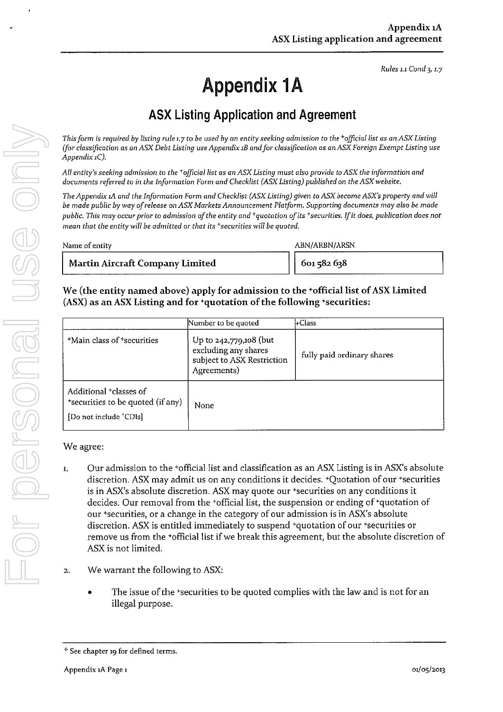Rules 1.1 Cond 3, 1.7

## Appendix IA

## AsX Listing Application and Agreement

| documents referred to in the Information Form and Checklist (ASX Listing) published on the ASX website.                                                                                                                                                                                                                                                                                                                                                                              |                                                                       | All entity's seeking admission to the *official list as an ASX Listing must also provide to ASX the information and                                                                                                                                                                                                                                                                                                                                                                                                                                                                                                                                      |
|--------------------------------------------------------------------------------------------------------------------------------------------------------------------------------------------------------------------------------------------------------------------------------------------------------------------------------------------------------------------------------------------------------------------------------------------------------------------------------------|-----------------------------------------------------------------------|----------------------------------------------------------------------------------------------------------------------------------------------------------------------------------------------------------------------------------------------------------------------------------------------------------------------------------------------------------------------------------------------------------------------------------------------------------------------------------------------------------------------------------------------------------------------------------------------------------------------------------------------------------|
| The Appendix 1A and the Information Form and Checklist (ASX Listing) given to ASX become ASX's property and will<br>be made public by way of release on ASX Markets Announcement Platform. Supporting documents may also be made<br>public. This may occur prior to admission of the entity and <sup>+</sup> quotation of its <sup>+</sup> securities. If it does, publication does not<br>mean that the entity will be admitted or that its <sup>+</sup> securities will be quoted. |                                                                       |                                                                                                                                                                                                                                                                                                                                                                                                                                                                                                                                                                                                                                                          |
| Name of entity                                                                                                                                                                                                                                                                                                                                                                                                                                                                       |                                                                       | ABN/ARBN/ARSN                                                                                                                                                                                                                                                                                                                                                                                                                                                                                                                                                                                                                                            |
| <b>Martin Aircraft Company Limited</b>                                                                                                                                                                                                                                                                                                                                                                                                                                               |                                                                       | 601 582 638                                                                                                                                                                                                                                                                                                                                                                                                                                                                                                                                                                                                                                              |
| We (the entity named above) apply for admission to the *official list of ASX Limited<br>(ASX) as an ASX Listing and for +quotation of the following +securities:<br><sup>+</sup> Main class of <sup>+</sup> securities                                                                                                                                                                                                                                                               | Number to be quoted<br>Up to 242,779,108 (but<br>excluding any shares | ⊦Class<br>fully paid ordinary shares                                                                                                                                                                                                                                                                                                                                                                                                                                                                                                                                                                                                                     |
| Additional <sup>+</sup> classes of                                                                                                                                                                                                                                                                                                                                                                                                                                                   | subject to ASX Restriction<br>Agreements)                             |                                                                                                                                                                                                                                                                                                                                                                                                                                                                                                                                                                                                                                                          |
| "securities to be quoted (if any)<br>[Do not include 'CDIs]                                                                                                                                                                                                                                                                                                                                                                                                                          | None                                                                  |                                                                                                                                                                                                                                                                                                                                                                                                                                                                                                                                                                                                                                                          |
| We agree:<br>1.<br>ASX is not limited.                                                                                                                                                                                                                                                                                                                                                                                                                                               |                                                                       | Our admission to the *official list and classification as an ASX Listing is in ASX's absolute<br>discretion. ASX may admit us on any conditions it decides. +Quotation of our +securities<br>is in ASX's absolute discretion. ASX may quote our *securities on any conditions it<br>decides. Our removal from the 'official list, the suspension or ending of 'quotation of<br>our 'securities, or a change in the category of our admission is in ASX's absolute<br>discretion. ASX is entitled immediately to suspend +quotation of our +securities or<br>remove us from the +official list if we break this agreement, but the absolute discretion of |
| 2.                                                                                                                                                                                                                                                                                                                                                                                                                                                                                   | We warrant the following to ASX:                                      |                                                                                                                                                                                                                                                                                                                                                                                                                                                                                                                                                                                                                                                          |

## We agree:

- I, Our admission to the 'official list and classification as an AsX Listing is in AsX's absolute discretion. AsX may admit us on any conditions it decides. 'Quotation of our 'securities is in AsX's absolute discretion. AsX may quote our 'securities on any conditions it decides. Our removal from the +official list, the suspension or ending of'quotation of our 'securities, or a change in the category of our admission is in AsX's absolute discretion. AsX is entitled immediately to suspend 'quotation of our'securities or remove us from the <sup>+</sup>official list if we break this agreement, but the absolute discretion of ASX is not limited.
- 2. We warrant the following to ASX:
	- The issue of the +securities to be quoted complies with the law and is not for an illegal purpose.

<sup>&#</sup>x27; See chapter 19 for defined terms.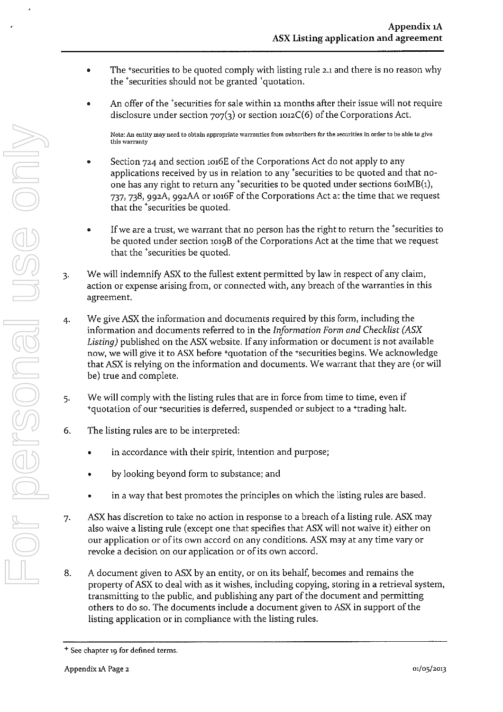- The \*securities to be quoted comply with listing rule 2.1 and there is no reason why the 'securities should not be granted 'quotation.
- An offer of the <sup>+</sup>securities for sale within 12 months after their issue will not require disclosure under section  $707(3)$  or section 1012C(6) of the Corporations Act. .

Note: An entity may need to obtain appropriate warranties from subscribers for the securities in order to be able to give this warranty

- Section 724 and section 1016E of the Corporations Act do not apply to any applications received by us in relation to any 'securities to be quoted and that noone has any right to return any 'securities to be quoted under sections  $601MB(1)$ , 737, 738, 992A, 992AA or 1016F of the Corporations Act at the time that we request that the 'securities be quoted
- $\bullet$  If we are a trust, we warrant that no person has the right to return the *recurities* to be quoted under section 1019B of the Corporations Act at the time that we request that the 'securities be quoted.
- We will indemnify AsX to the fullest extent permitted by law in respect of any claim, action or expense arising from, or connected with, any breach of the warranties in this agreement. 3-
- We give AsX the information and documents required by this form, including the information and documents referred to in the Information Form and Checklist (ASX Listing) published on the ASX website. If any information or document is not available now, we will give it to ASX before <sup>+</sup>quotation of the <sup>+</sup>securities begins. We acknowledge that ASX is relying on the information and documents. We warrant that they are (or will be) true and complete. 4- Associated when the best interest of the Corporation And Euck and the second in the state of the comparison and the comparison and the comparison of the comparison of the comparison of the comparison of the securities be
	- We will comply with the listing rules that are in force from time to time, even if <sup>+</sup>quotation of our <sup>+</sup>securities is deferred, suspended or subject to a <sup>+</sup>trading halt. 5-
	- The listing rules are to be interpreted: 6.
		- in accordance with their spirit, intention and purpose;
		- by looking beyond form to substance; and
		- in a way that best promotes the principles on which the listing rules are based.
	- AsX has discretion to take no action in response to a breach of a listing rule. AsX may also waive a listing rule (except one that specifies that AsXwill notwaive it) either on our application or of its own accord on any conditions. AsX may at any time vary or revoke a decision on our application or of its own accord. 7-
	- A document given to ASX by an entity, or on its behalf, becomes and remains the property of ASX to deal with as it wishes, including copying, storing in a retrieval system, transmitting to the public, and publishing any part of the document and permitting others to do so. The documents include a document given to ASX in support of the listing application or in compliance with the listing rules, 8.

<sup>&</sup>lt;sup>+</sup> See chapter 19 for defined terms.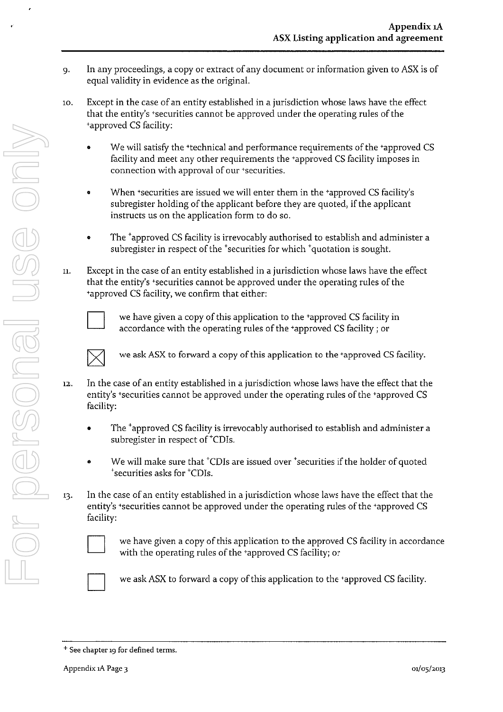- 9. In any proceedings, a copy or extract of any document or information given to ASX is of equal validity in evidence as the original
- Except in the case of an entity established in a jurisdiction whose laws have the effect that the entity's +securities cannot be approved under the operating rules of the 'approved CS facility 10
	- We will satisfy the +technical and performance requirements of the +approved CS facility and meet any other requirements the +approved CS facility imposes in connection with approval of our +securities.
	- When 'securities are issued we will enter them in the 'approved CS facility's subregister holding of the applicant before they are quoted, if the applicant instructs us on the application form to do so
	- The <sup>+</sup>approved CS facility is irrevocably authorised to establish and administer a subregister in respect of the <sup>+</sup>securities for which <sup>+</sup>quotation is sought.
- Except in the case of an entity established in a jurisdiction whose laws have the effect that the entity's \*securities cannot be approved under the operating rules of the 'approved CS facility, we confirm that either IL



we have given a copy of this application to the 'approved CS facility in accordance with the operating rules of the 'approved CS facility ; or



we ask ASX to forward a copy of this application to the +approved CS facility.

- In the case of an entity established in a jurisdiction whose laws have the effect that the entity's +securities cannot be approved under the operating rules of the +approved CS facility 12
	- The <sup>+</sup>approved CS facility is irrevocably authorised to establish and administer a subregister in respect of <sup>\*</sup>CDIs.
	- We will make sure that <sup>\*</sup>CDIs are issued over <sup>\*</sup>securities if the holder of quoted <sup>+</sup>securities asks for <sup>+</sup>CDIs.
- In the case of an entity established in a jurisdiction whose laws have the effect that the entity's +securities cannot be approved under the operating rules of the +approved CS facility: 13.



we have given a copy of this application to the approved CS facility in accordance with the operating rules of the +approved CS facility; or



we askASX to forward a copy of this application to the 'approved CS facility